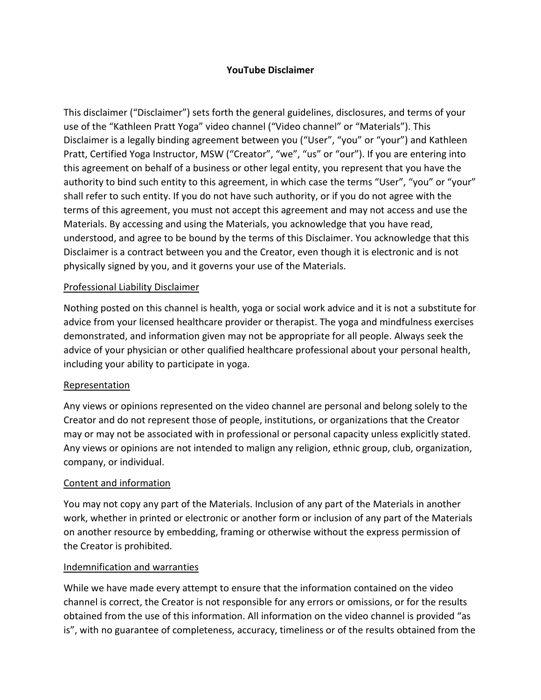### **YouTube Disclaimer**

This disclaimer ("Disclaimer") sets forth the general guidelines, disclosures, and terms of your use of the "Kathleen Pratt Yoga" video channel ("Video channel" or "Materials"). This Disclaimer is a legally binding agreement between you ("User", "you" or "your") and Kathleen Pratt, Certified Yoga Instructor, MSW ("Creator", "we", "us" or "our"). If you are entering into this agreement on behalf of a business or other legal entity, you represent that you have the authority to bind such entity to this agreement, in which case the terms "User", "you" or "your" shall refer to such entity. If you do not have such authority, or if you do not agree with the terms of this agreement, you must not accept this agreement and may not access and use the Materials. By accessing and using the Materials, you acknowledge that you have read, understood, and agree to be bound by the terms of this Disclaimer. You acknowledge that this Disclaimer is a contract between you and the Creator, even though it is electronic and is not physically signed by you, and it governs your use of the Materials.

#### Professional Liability Disclaimer

Nothing posted on this channel is health, yoga or social work advice and it is not a substitute for advice from your licensed healthcare provider or therapist. The yoga and mindfulness exercises demonstrated, and information given may not be appropriate for all people. Always seek the advice of your physician or other qualified healthcare professional about your personal health, including your ability to participate in yoga.

#### Representation

Any views or opinions represented on the video channel are personal and belong solely to the Creator and do not represent those of people, institutions, or organizations that the Creator may or may not be associated with in professional or personal capacity unless explicitly stated. Any views or opinions are not intended to malign any religion, ethnic group, club, organization, company, or individual.

#### Content and information

You may not copy any part of the Materials. Inclusion of any part of the Materials in another work, whether in printed or electronic or another form or inclusion of any part of the Materials on another resource by embedding, framing or otherwise without the express permission of the Creator is prohibited.

#### Indemnification and warranties

While we have made every attempt to ensure that the information contained on the video channel is correct, the Creator is not responsible for any errors or omissions, or for the results obtained from the use of this information. All information on the video channel is provided "as is", with no guarantee of completeness, accuracy, timeliness or of the results obtained from the